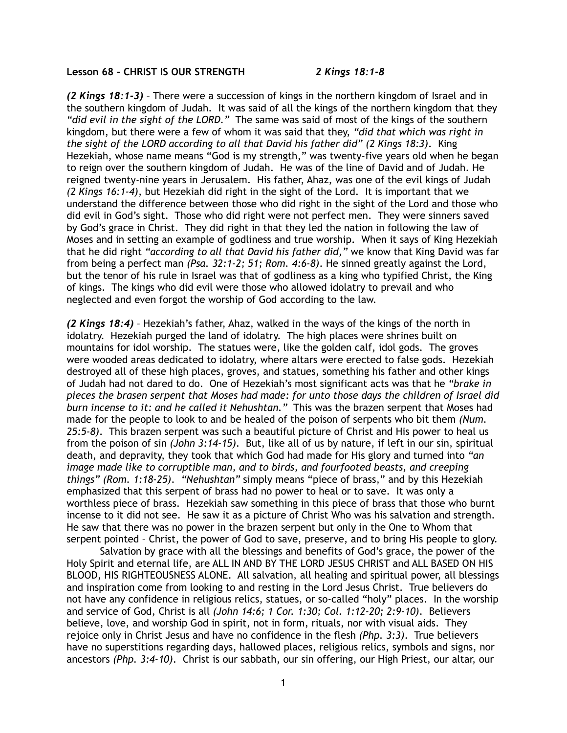## **Lesson 68 – CHRIST IS OUR STRENGTH** *2 Kings 18:1-8*

*(2 Kings 18:1-3)* – There were a succession of kings in the northern kingdom of Israel and in the southern kingdom of Judah. It was said of all the kings of the northern kingdom that they *"did evil in the sight of the LORD."* The same was said of most of the kings of the southern kingdom, but there were a few of whom it was said that they, *"did that which was right in the sight of the LORD according to all that David his father did" (2 Kings 18:3)*. King Hezekiah, whose name means "God is my strength," was twenty-five years old when he began to reign over the southern kingdom of Judah. He was of the line of David and of Judah. He reigned twenty-nine years in Jerusalem. His father, Ahaz, was one of the evil kings of Judah *(2 Kings 16:1-4)*, but Hezekiah did right in the sight of the Lord. It is important that we understand the difference between those who did right in the sight of the Lord and those who did evil in God's sight. Those who did right were not perfect men. They were sinners saved by God's grace in Christ. They did right in that they led the nation in following the law of Moses and in setting an example of godliness and true worship. When it says of King Hezekiah that he did right *"according to all that David his father did,"* we know that King David was far from being a perfect man *(Psa. 32:1-2; 51; Rom. 4:6-8)*. He sinned greatly against the Lord, but the tenor of his rule in Israel was that of godliness as a king who typified Christ, the King of kings. The kings who did evil were those who allowed idolatry to prevail and who neglected and even forgot the worship of God according to the law.

*(2 Kings 18:4)* – Hezekiah's father, Ahaz, walked in the ways of the kings of the north in idolatry. Hezekiah purged the land of idolatry. The high places were shrines built on mountains for idol worship. The statues were, like the golden calf, idol gods. The groves were wooded areas dedicated to idolatry, where altars were erected to false gods. Hezekiah destroyed all of these high places, groves, and statues, something his father and other kings of Judah had not dared to do. One of Hezekiah's most significant acts was that he *"brake in pieces the brasen serpent that Moses had made: for unto those days the children of Israel did burn incense to it: and he called it Nehushtan."* This was the brazen serpent that Moses had made for the people to look to and be healed of the poison of serpents who bit them *(Num. 25:5-8)*. This brazen serpent was such a beautiful picture of Christ and His power to heal us from the poison of sin *(John 3:14-15)*. But, like all of us by nature, if left in our sin, spiritual death, and depravity, they took that which God had made for His glory and turned into *"an image made like to corruptible man, and to birds, and fourfooted beasts, and creeping things" (Rom. 1:18-25)*. *"Nehushtan"* simply means "piece of brass," and by this Hezekiah emphasized that this serpent of brass had no power to heal or to save. It was only a worthless piece of brass. Hezekiah saw something in this piece of brass that those who burnt incense to it did not see. He saw it as a picture of Christ Who was his salvation and strength. He saw that there was no power in the brazen serpent but only in the One to Whom that serpent pointed – Christ, the power of God to save, preserve, and to bring His people to glory.

 Salvation by grace with all the blessings and benefits of God's grace, the power of the Holy Spirit and eternal life, are ALL IN AND BY THE LORD JESUS CHRIST and ALL BASED ON HIS BLOOD, HIS RIGHTEOUSNESS ALONE. All salvation, all healing and spiritual power, all blessings and inspiration come from looking to and resting in the Lord Jesus Christ. True believers do not have any confidence in religious relics, statues, or so-called "holy" places. In the worship and service of God, Christ is all *(John 14:6; 1 Cor. 1:30; Col. 1:12-20; 2:9-10)*. Believers believe, love, and worship God in spirit, not in form, rituals, nor with visual aids. They rejoice only in Christ Jesus and have no confidence in the flesh *(Php. 3:3)*. True believers have no superstitions regarding days, hallowed places, religious relics, symbols and signs, nor ancestors *(Php. 3:4-10)*. Christ is our sabbath, our sin offering, our High Priest, our altar, our